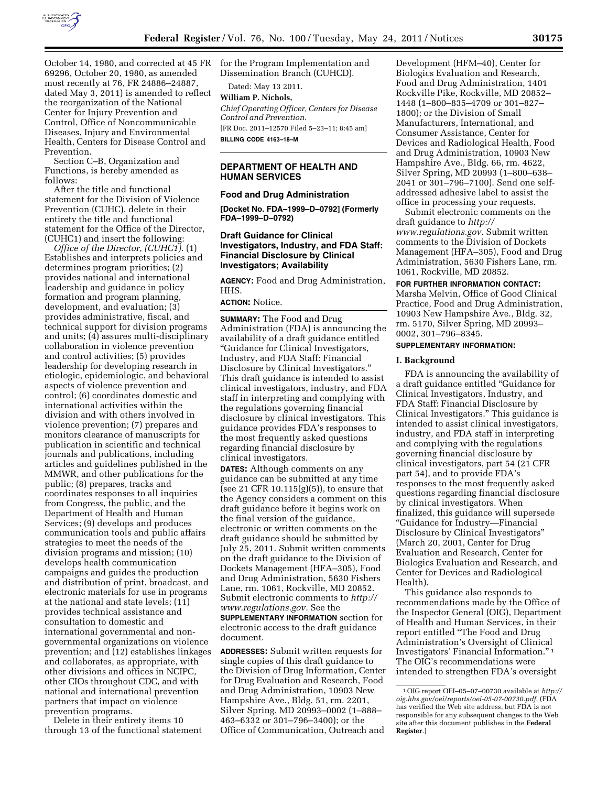

October 14, 1980, and corrected at 45 FR for the Program Implementation and 69296, October 20, 1980, as amended most recently at 76, FR 24886–24887, dated May 3, 2011) is amended to reflect the reorganization of the National Center for Injury Prevention and Control, Office of Noncommunicable Diseases, Injury and Environmental Health, Centers for Disease Control and Prevention.

Section C–B, Organization and Functions, is hereby amended as follows:

After the title and functional statement for the Division of Violence Prevention (CUHC), delete in their entirety the title and functional statement for the Office of the Director, (CUHC1) and insert the following:

*Office of the Director, (CUHC1).* (1) Establishes and interprets policies and determines program priorities; (2) provides national and international leadership and guidance in policy formation and program planning, development, and evaluation; (3) provides administrative, fiscal, and technical support for division programs and units; (4) assures multi-disciplinary collaboration in violence prevention and control activities; (5) provides leadership for developing research in etiologic, epidemiologic, and behavioral aspects of violence prevention and control; (6) coordinates domestic and international activities within the division and with others involved in violence prevention; (7) prepares and monitors clearance of manuscripts for publication in scientific and technical journals and publications, including articles and guidelines published in the MMWR, and other publications for the public; (8) prepares, tracks and coordinates responses to all inquiries from Congress, the public, and the Department of Health and Human Services; (9) develops and produces communication tools and public affairs strategies to meet the needs of the division programs and mission; (10) develops health communication campaigns and guides the production and distribution of print, broadcast, and electronic materials for use in programs at the national and state levels; (11) provides technical assistance and consultation to domestic and international governmental and nongovernmental organizations on violence prevention; and (12) establishes linkages and collaborates, as appropriate, with other divisions and offices in NCIPC, other CIOs throughout CDC, and with national and international prevention partners that impact on violence prevention programs.

Delete in their entirety items 10 through 13 of the functional statement Dissemination Branch (CUHCD).

Dated: May 13 2011.

**William P. Nichols,**  *Chief Operating Officer, Centers for Disease Control and Prevention.*  [FR Doc. 2011–12570 Filed 5–23–11; 8:45 am]

**BILLING CODE 4163–18–M** 

## **DEPARTMENT OF HEALTH AND HUMAN SERVICES**

### **Food and Drug Administration**

**[Docket No. FDA–1999–D–0792] (Formerly FDA–1999–D–0792)** 

## **Draft Guidance for Clinical Investigators, Industry, and FDA Staff: Financial Disclosure by Clinical Investigators; Availability**

**AGENCY:** Food and Drug Administration, HHS.

#### **ACTION:** Notice.

**SUMMARY:** The Food and Drug Administration (FDA) is announcing the availability of a draft guidance entitled ''Guidance for Clinical Investigators, Industry, and FDA Staff: Financial Disclosure by Clinical Investigators.'' This draft guidance is intended to assist clinical investigators, industry, and FDA staff in interpreting and complying with the regulations governing financial disclosure by clinical investigators. This guidance provides FDA's responses to the most frequently asked questions regarding financial disclosure by clinical investigators.

**DATES:** Although comments on any guidance can be submitted at any time (see 21 CFR 10.115(g)(5)), to ensure that the Agency considers a comment on this draft guidance before it begins work on the final version of the guidance, electronic or written comments on the draft guidance should be submitted by July 25, 2011. Submit written comments on the draft guidance to the Division of Dockets Management (HFA–305), Food and Drug Administration, 5630 Fishers Lane, rm. 1061, Rockville, MD 20852. Submit electronic comments to *[http://](http://www.regulations.gov)  [www.regulations.gov.](http://www.regulations.gov)* See the **SUPPLEMENTARY INFORMATION** section for electronic access to the draft guidance document.

**ADDRESSES:** Submit written requests for single copies of this draft guidance to the Division of Drug Information, Center for Drug Evaluation and Research, Food and Drug Administration, 10903 New Hampshire Ave., Bldg. 51, rm. 2201, Silver Spring, MD 20993–0002 (1–888– 463–6332 or 301–796–3400); or the Office of Communication, Outreach and

Development (HFM–40), Center for Biologics Evaluation and Research, Food and Drug Administration, 1401 Rockville Pike, Rockville, MD 20852– 1448 (1–800–835–4709 or 301–827– 1800); or the Division of Small Manufacturers, International, and Consumer Assistance, Center for Devices and Radiological Health, Food and Drug Administration, 10903 New Hampshire Ave., Bldg. 66, rm. 4622, Silver Spring, MD 20993 (1–800–638– 2041 or 301–796–7100). Send one selfaddressed adhesive label to assist the office in processing your requests.

Submit electronic comments on the draft guidance to *[http://](http://www.regulations.gov)  [www.regulations.gov.](http://www.regulations.gov)* Submit written comments to the Division of Dockets Management (HFA–305), Food and Drug Administration, 5630 Fishers Lane, rm. 1061, Rockville, MD 20852.

**FOR FURTHER INFORMATION CONTACT:**  Marsha Melvin, Office of Good Clinical Practice, Food and Drug Administration, 10903 New Hampshire Ave., Bldg. 32, rm. 5170, Silver Spring, MD 20993– 0002, 301–796–8345.

#### **SUPPLEMENTARY INFORMATION:**

#### **I. Background**

FDA is announcing the availability of a draft guidance entitled ''Guidance for Clinical Investigators, Industry, and FDA Staff: Financial Disclosure by Clinical Investigators.'' This guidance is intended to assist clinical investigators, industry, and FDA staff in interpreting and complying with the regulations governing financial disclosure by clinical investigators, part 54 (21 CFR part 54), and to provide FDA's responses to the most frequently asked questions regarding financial disclosure by clinical investigators. When finalized, this guidance will supersede ''Guidance for Industry—Financial Disclosure by Clinical Investigators'' (March 20, 2001, Center for Drug Evaluation and Research, Center for Biologics Evaluation and Research, and Center for Devices and Radiological Health).

This guidance also responds to recommendations made by the Office of the Inspector General (OIG), Department of Health and Human Services, in their report entitled ''The Food and Drug Administration's Oversight of Clinical Investigators' Financial Information.'' 1 The OIG's recommendations were intended to strengthen FDA's oversight

<sup>1</sup>OIG report OEI–05–07–00730 available at *[http://](http://oig.hhs.gov/oei/reports/oei-05-07-00730.pdf) [oig.hhs.gov/oei/reports/oei-05-07-00730.pdf](http://oig.hhs.gov/oei/reports/oei-05-07-00730.pdf)*. (FDA has verified the Web site address, but FDA is not responsible for any subsequent changes to the Web site after this document publishes in the **Federal Register**.)